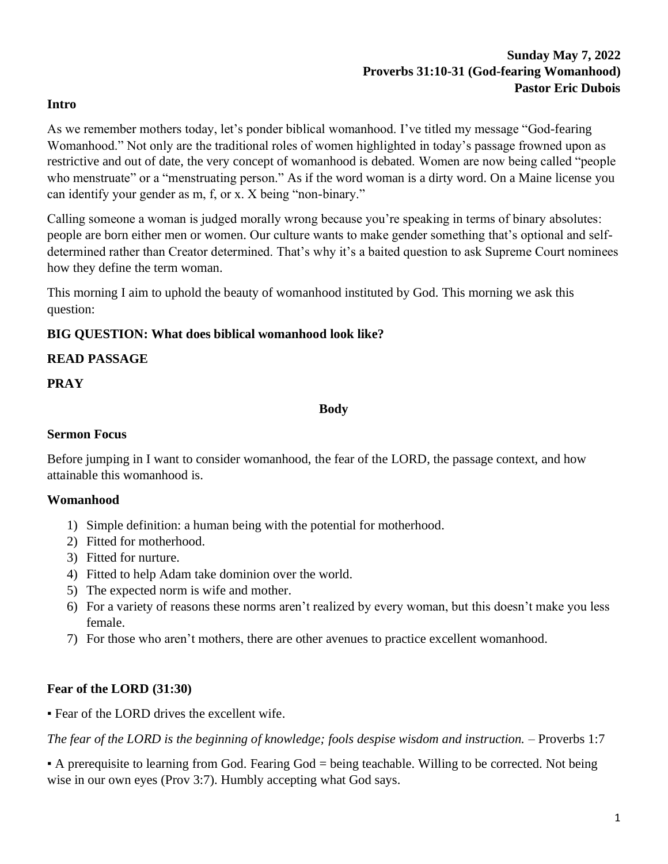# **Sunday May 7, 2022 Proverbs 31:10-31 (God-fearing Womanhood) Pastor Eric Dubois**

#### **Intro**

As we remember mothers today, let's ponder biblical womanhood. I've titled my message "God-fearing Womanhood." Not only are the traditional roles of women highlighted in today's passage frowned upon as restrictive and out of date, the very concept of womanhood is debated. Women are now being called "people who menstruate" or a "menstruating person." As if the word woman is a dirty word. On a Maine license you can identify your gender as m, f, or x. X being "non-binary."

Calling someone a woman is judged morally wrong because you're speaking in terms of binary absolutes: people are born either men or women. Our culture wants to make gender something that's optional and selfdetermined rather than Creator determined. That's why it's a baited question to ask Supreme Court nominees how they define the term woman.

This morning I aim to uphold the beauty of womanhood instituted by God. This morning we ask this question:

#### **BIG QUESTION: What does biblical womanhood look like?**

#### **READ PASSAGE**

#### **PRAY**

**Body**

#### **Sermon Focus**

Before jumping in I want to consider womanhood, the fear of the LORD, the passage context, and how attainable this womanhood is.

#### **Womanhood**

- 1) Simple definition: a human being with the potential for motherhood.
- 2) Fitted for motherhood.
- 3) Fitted for nurture.
- 4) Fitted to help Adam take dominion over the world.
- 5) The expected norm is wife and mother.
- 6) For a variety of reasons these norms aren't realized by every woman, but this doesn't make you less female.
- 7) For those who aren't mothers, there are other avenues to practice excellent womanhood.

#### **Fear of the LORD (31:30)**

▪ Fear of the LORD drives the excellent wife.

*The fear of the LORD is the beginning of knowledge; fools despise wisdom and instruction.* – Proverbs 1:7

▪ A prerequisite to learning from God. Fearing God = being teachable. Willing to be corrected. Not being wise in our own eyes (Prov 3:7). Humbly accepting what God says.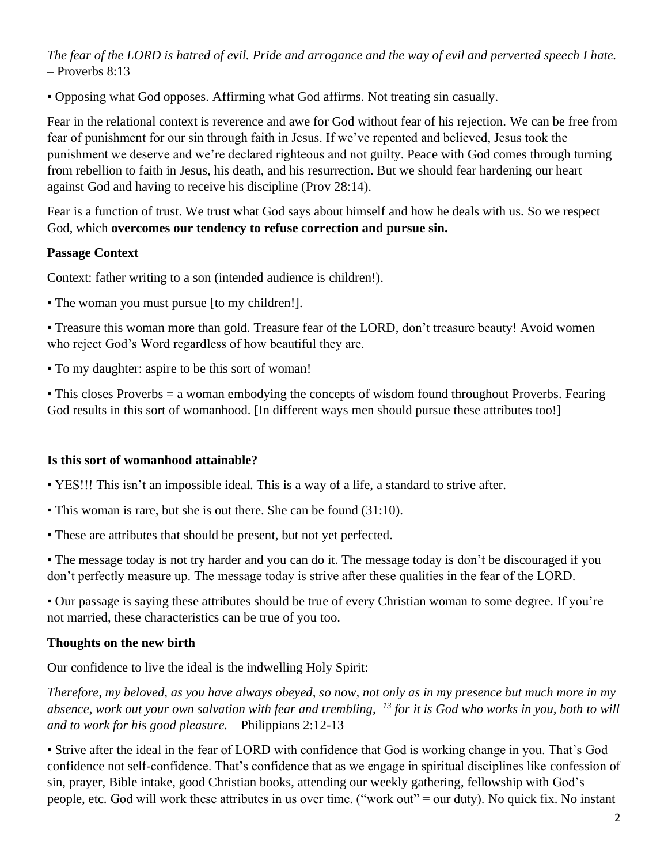*The fear of the LORD is hatred of evil. Pride and arrogance and the way of evil and perverted speech I hate.* – Proverbs 8:13

▪ Opposing what God opposes. Affirming what God affirms. Not treating sin casually.

Fear in the relational context is reverence and awe for God without fear of his rejection. We can be free from fear of punishment for our sin through faith in Jesus. If we've repented and believed, Jesus took the punishment we deserve and we're declared righteous and not guilty. Peace with God comes through turning from rebellion to faith in Jesus, his death, and his resurrection. But we should fear hardening our heart against God and having to receive his discipline (Prov 28:14).

Fear is a function of trust. We trust what God says about himself and how he deals with us. So we respect God, which **overcomes our tendency to refuse correction and pursue sin.**

## **Passage Context**

Context: father writing to a son (intended audience is children!).

▪ The woman you must pursue [to my children!].

▪ Treasure this woman more than gold. Treasure fear of the LORD, don't treasure beauty! Avoid women who reject God's Word regardless of how beautiful they are.

▪ To my daughter: aspire to be this sort of woman!

▪ This closes Proverbs = a woman embodying the concepts of wisdom found throughout Proverbs. Fearing God results in this sort of womanhood. [In different ways men should pursue these attributes too!]

#### **Is this sort of womanhood attainable?**

▪ YES!!! This isn't an impossible ideal. This is a way of a life, a standard to strive after.

- This woman is rare, but she is out there. She can be found (31:10).
- These are attributes that should be present, but not yet perfected.

• The message today is not try harder and you can do it. The message today is don't be discouraged if you don't perfectly measure up. The message today is strive after these qualities in the fear of the LORD.

▪ Our passage is saying these attributes should be true of every Christian woman to some degree. If you're not married, these characteristics can be true of you too.

## **Thoughts on the new birth**

Our confidence to live the ideal is the indwelling Holy Spirit:

*Therefore, my beloved, as you have always obeyed, so now, not only as in my presence but much more in my absence, work out your own salvation with fear and trembling, <sup>13</sup> for it is God who works in you, both to will and to work for his good pleasure.* – Philippians 2:12-13

▪ Strive after the ideal in the fear of LORD with confidence that God is working change in you. That's God confidence not self-confidence. That's confidence that as we engage in spiritual disciplines like confession of sin, prayer, Bible intake, good Christian books, attending our weekly gathering, fellowship with God's people, etc. God will work these attributes in us over time. ("work out" = our duty). No quick fix. No instant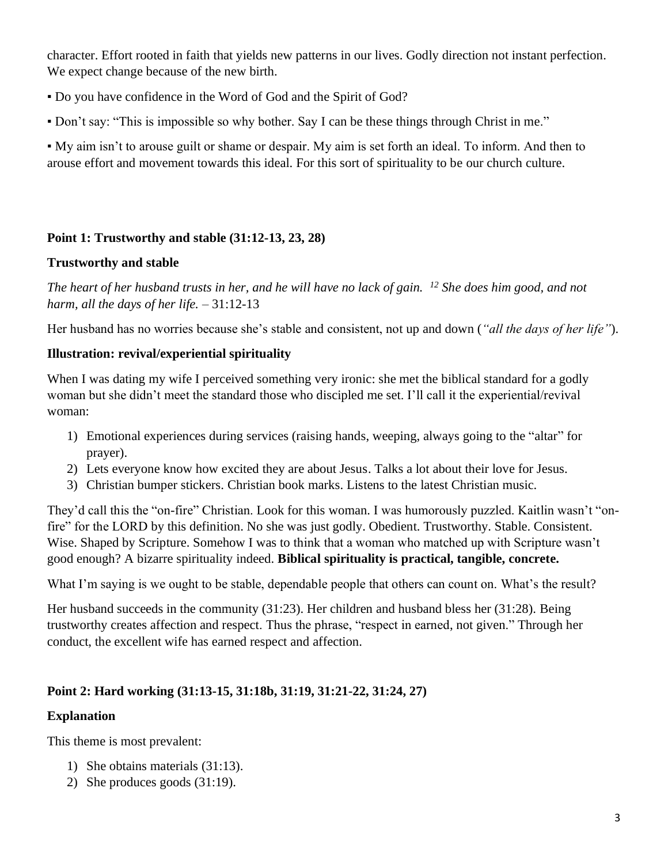character. Effort rooted in faith that yields new patterns in our lives. Godly direction not instant perfection. We expect change because of the new birth.

- Do you have confidence in the Word of God and the Spirit of God?
- Don't say: "This is impossible so why bother. Say I can be these things through Christ in me."

▪ My aim isn't to arouse guilt or shame or despair. My aim is set forth an ideal. To inform. And then to arouse effort and movement towards this ideal. For this sort of spirituality to be our church culture.

## **Point 1: Trustworthy and stable (31:12-13, 23, 28)**

### **Trustworthy and stable**

*The heart of her husband trusts in her, and he will have no lack of gain. <sup>12</sup> She does him good, and not harm, all the days of her life.* – 31:12-13

Her husband has no worries because she's stable and consistent, not up and down (*"all the days of her life"*).

## **Illustration: revival/experiential spirituality**

When I was dating my wife I perceived something very ironic: she met the biblical standard for a godly woman but she didn't meet the standard those who discipled me set. I'll call it the experiential/revival woman:

- 1) Emotional experiences during services (raising hands, weeping, always going to the "altar" for prayer).
- 2) Lets everyone know how excited they are about Jesus. Talks a lot about their love for Jesus.
- 3) Christian bumper stickers. Christian book marks. Listens to the latest Christian music.

They'd call this the "on-fire" Christian. Look for this woman. I was humorously puzzled. Kaitlin wasn't "onfire" for the LORD by this definition. No she was just godly. Obedient. Trustworthy. Stable. Consistent. Wise. Shaped by Scripture. Somehow I was to think that a woman who matched up with Scripture wasn't good enough? A bizarre spirituality indeed. **Biblical spirituality is practical, tangible, concrete.**

What I'm saying is we ought to be stable, dependable people that others can count on. What's the result?

Her husband succeeds in the community (31:23). Her children and husband bless her (31:28). Being trustworthy creates affection and respect. Thus the phrase, "respect in earned, not given." Through her conduct, the excellent wife has earned respect and affection.

# **Point 2: Hard working (31:13-15, 31:18b, 31:19, 31:21-22, 31:24, 27)**

## **Explanation**

This theme is most prevalent:

- 1) She obtains materials (31:13).
- 2) She produces goods (31:19).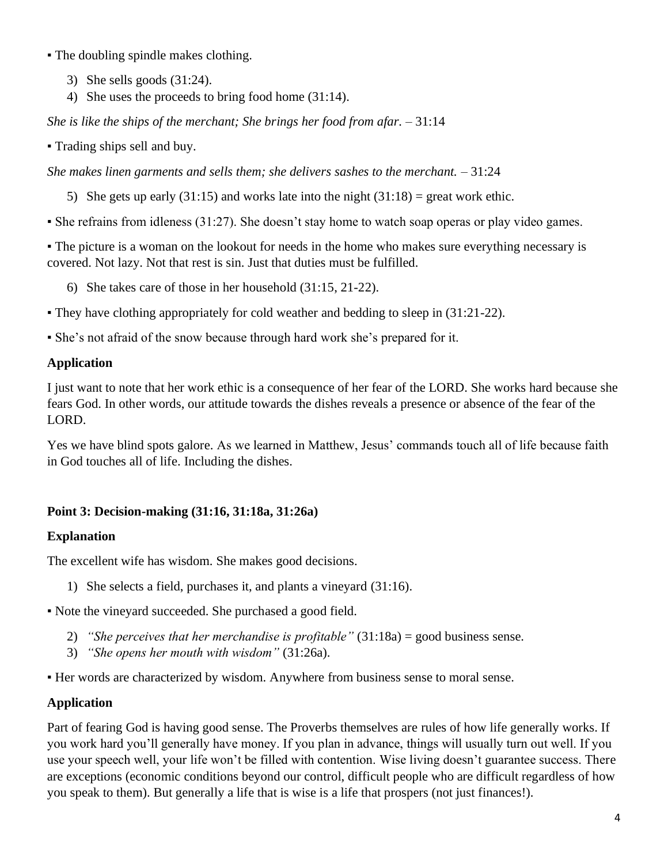- The doubling spindle makes clothing.
	- 3) She sells goods (31:24).
	- 4) She uses the proceeds to bring food home (31:14).

*She is like the ships of the merchant; She brings her food from afar.* – 31:14

▪ Trading ships sell and buy.

*She makes linen garments and sells them; she delivers sashes to the merchant.* – 31:24

- 5) She gets up early (31:15) and works late into the night  $(31:18)$  = great work ethic.
- She refrains from idleness (31:27). She doesn't stay home to watch soap operas or play video games.

• The picture is a woman on the lookout for needs in the home who makes sure everything necessary is covered. Not lazy. Not that rest is sin. Just that duties must be fulfilled.

6) She takes care of those in her household (31:15, 21-22).

▪ They have clothing appropriately for cold weather and bedding to sleep in (31:21-22).

▪ She's not afraid of the snow because through hard work she's prepared for it.

#### **Application**

I just want to note that her work ethic is a consequence of her fear of the LORD. She works hard because she fears God. In other words, our attitude towards the dishes reveals a presence or absence of the fear of the LORD.

Yes we have blind spots galore. As we learned in Matthew, Jesus' commands touch all of life because faith in God touches all of life. Including the dishes.

#### **Point 3: Decision-making (31:16, 31:18a, 31:26a)**

#### **Explanation**

The excellent wife has wisdom. She makes good decisions.

1) She selects a field, purchases it, and plants a vineyard (31:16).

▪ Note the vineyard succeeded. She purchased a good field.

- 2) *"She perceives that her merchandise is profitable"* (31:18a) = good business sense.
- 3) *"She opens her mouth with wisdom"* (31:26a).
- Her words are characterized by wisdom. Anywhere from business sense to moral sense.

#### **Application**

Part of fearing God is having good sense. The Proverbs themselves are rules of how life generally works. If you work hard you'll generally have money. If you plan in advance, things will usually turn out well. If you use your speech well, your life won't be filled with contention. Wise living doesn't guarantee success. There are exceptions (economic conditions beyond our control, difficult people who are difficult regardless of how you speak to them). But generally a life that is wise is a life that prospers (not just finances!).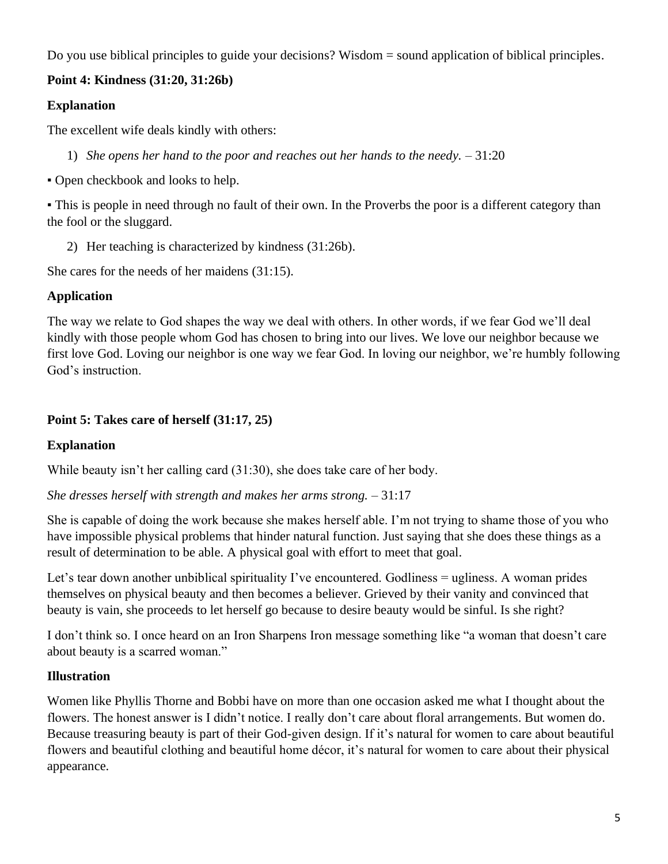Do you use biblical principles to guide your decisions? Wisdom = sound application of biblical principles.

## **Point 4: Kindness (31:20, 31:26b)**

## **Explanation**

The excellent wife deals kindly with others:

1) *She opens her hand to the poor and reaches out her hands to the needy.* – 31:20

▪ Open checkbook and looks to help.

• This is people in need through no fault of their own. In the Proverbs the poor is a different category than the fool or the sluggard.

2) Her teaching is characterized by kindness (31:26b).

She cares for the needs of her maidens (31:15).

# **Application**

The way we relate to God shapes the way we deal with others. In other words, if we fear God we'll deal kindly with those people whom God has chosen to bring into our lives. We love our neighbor because we first love God. Loving our neighbor is one way we fear God. In loving our neighbor, we're humbly following God's instruction.

## **Point 5: Takes care of herself (31:17, 25)**

## **Explanation**

While beauty isn't her calling card (31:30), she does take care of her body.

*She dresses herself with strength and makes her arms strong.* – 31:17

She is capable of doing the work because she makes herself able. I'm not trying to shame those of you who have impossible physical problems that hinder natural function. Just saying that she does these things as a result of determination to be able. A physical goal with effort to meet that goal.

Let's tear down another unbiblical spirituality I've encountered. Godliness = ugliness. A woman prides themselves on physical beauty and then becomes a believer. Grieved by their vanity and convinced that beauty is vain, she proceeds to let herself go because to desire beauty would be sinful. Is she right?

I don't think so. I once heard on an Iron Sharpens Iron message something like "a woman that doesn't care about beauty is a scarred woman."

## **Illustration**

Women like Phyllis Thorne and Bobbi have on more than one occasion asked me what I thought about the flowers. The honest answer is I didn't notice. I really don't care about floral arrangements. But women do. Because treasuring beauty is part of their God-given design. If it's natural for women to care about beautiful flowers and beautiful clothing and beautiful home décor, it's natural for women to care about their physical appearance.